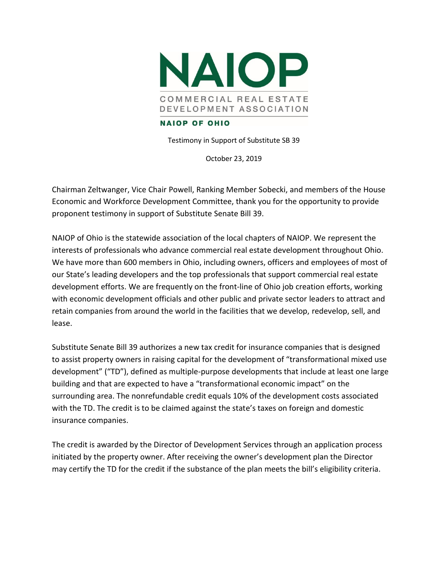

Testimony in Support of Substitute SB 39

October 23, 2019

Chairman Zeltwanger, Vice Chair Powell, Ranking Member Sobecki, and members of the House Economic and Workforce Development Committee, thank you for the opportunity to provide proponent testimony in support of Substitute Senate Bill 39.

NAIOP of Ohio is the statewide association of the local chapters of NAIOP. We represent the interests of professionals who advance commercial real estate development throughout Ohio. We have more than 600 members in Ohio, including owners, officers and employees of most of our State's leading developers and the top professionals that support commercial real estate development efforts. We are frequently on the front-line of Ohio job creation efforts, working with economic development officials and other public and private sector leaders to attract and retain companies from around the world in the facilities that we develop, redevelop, sell, and lease.

Substitute Senate Bill 39 authorizes a new tax credit for insurance companies that is designed to assist property owners in raising capital for the development of "transformational mixed use development" ("TD"), defined as multiple-purpose developments that include at least one large building and that are expected to have a "transformational economic impact" on the surrounding area. The nonrefundable credit equals 10% of the development costs associated with the TD. The credit is to be claimed against the state's taxes on foreign and domestic insurance companies.

The credit is awarded by the Director of Development Services through an application process initiated by the property owner. After receiving the owner's development plan the Director may certify the TD for the credit if the substance of the plan meets the bill's eligibility criteria.